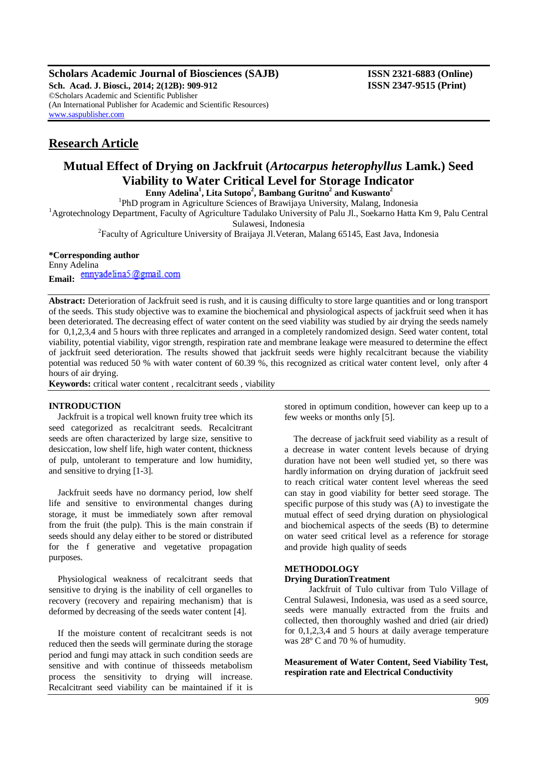**Scholars Academic Journal of Biosciences (SAJB) ISSN 2321-6883 (Online)**

**Sch. Acad. J. Biosci., 2014; 2(12B): 909-912 ISSN 2347-9515 (Print)** ©Scholars Academic and Scientific Publisher (An International Publisher for Academic and Scientific Resources) [www.saspublisher.com](http://www.saspublisher.com/)

## **Research Article**

# **Mutual Effect of Drying on Jackfruit (***Artocarpus heterophyllus* **Lamk.) Seed Viability to Water Critical Level for Storage Indicator**

**Enny Adelina<sup>1</sup> , Lita Sutopo<sup>2</sup> , Bambang Guritno<sup>2</sup> and Kuswanto<sup>2</sup>**

<sup>1</sup>PhD program in Agriculture Sciences of Brawijaya University, Malang, Indonesia

<sup>1</sup>Agrotechnology Department, Faculty of Agriculture Tadulako University of Palu Jl., Soekarno Hatta Km 9, Palu Central Sulawesi, Indonesia

<sup>2</sup> Faculty of Agriculture University of Braijaya Jl. Veteran, Malang 65145, East Java, Indonesia

## **\*Corresponding author**

Enny Adelina Email: ennyadelina5@gmail.com

**Abstract:** Deterioration of Jackfruit seed is rush, and it is causing difficulty to store large quantities and or long transport of the seeds. This study objective was to examine the biochemical and physiological aspects of jackfruit seed when it has been deteriorated. The decreasing effect of water content on the seed viability was studied by air drying the seeds namely for 0,1,2,3,4 and 5 hours with three replicates and arranged in a completely randomized design. Seed water content, total viability, potential viability, vigor strength, respiration rate and membrane leakage were measured to determine the effect of jackfruit seed deterioration. The results showed that jackfruit seeds were highly recalcitrant because the viability potential was reduced 50 % with water content of 60.39 %, this recognized as critical water content level, only after 4 hours of air drying.

**Keywords:** critical water content , recalcitrant seeds , viability

## **INTRODUCTION**

Jackfruit is a tropical well known fruity tree which its seed categorized as recalcitrant seeds. Recalcitrant seeds are often characterized by large size, sensitive to desiccation, low shelf life, high water content, thickness of pulp, untolerant to temperature and low humidity, and sensitive to drying [1-3].

Jackfruit seeds have no dormancy period, low shelf life and sensitive to environmental changes during storage, it must be immediately sown after removal from the fruit (the pulp). This is the main constrain if seeds should any delay either to be stored or distributed for the f generative and vegetative propagation purposes.

Physiological weakness of recalcitrant seeds that sensitive to drying is the inability of cell organelles to recovery (recovery and repairing mechanism) that is deformed by decreasing of the seeds water content [4].

If the moisture content of recalcitrant seeds is not reduced then the seeds will germinate during the storage period and fungi may attack in such condition seeds are sensitive and with continue of thisseeds metabolism process the sensitivity to drying will increase. Recalcitrant seed viability can be maintained if it is stored in optimum condition, however can keep up to a few weeks or months only [5].

The decrease of jackfruit seed viability as a result of a decrease in water content levels because of drying duration have not been well studied yet, so there was hardly information on drying duration of jackfruit seed to reach critical water content level whereas the seed can stay in good viability for better seed storage. The specific purpose of this study was (A) to investigate the mutual effect of seed drying duration on physiological and biochemical aspects of the seeds (B) to determine on water seed critical level as a reference for storage and provide high quality of seeds

## **METHODOLOGY**

#### **Drying DurationTreatment**

Jackfruit of Tulo cultivar from Tulo Village of Central Sulawesi, Indonesia, was used as a seed source, seeds were manually extracted from the fruits and collected, then thoroughly washed and dried (air dried) for 0,1,2,3,4 and 5 hours at daily average temperature was 28º C and 70 % of humudity.

**Measurement of Water Content, Seed Viability Test, respiration rate and Electrical Conductivity**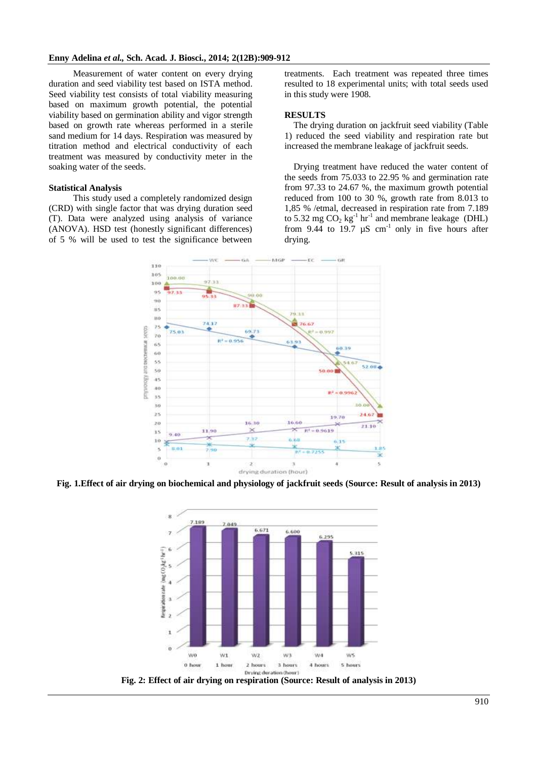Measurement of water content on every drying duration and seed viability test based on ISTA method. Seed viability test consists of total viability measuring based on maximum growth potential, the potential viability based on germination ability and vigor strength based on growth rate whereas performed in a sterile sand medium for 14 days. Respiration was measured by titration method and electrical conductivity of each treatment was measured by conductivity meter in the soaking water of the seeds.

#### **Statistical Analysis**

This study used a completely randomized design (CRD) with single factor that was drying duration seed (T). Data were analyzed using analysis of variance (ANOVA). HSD test (honestly significant differences) of 5 % will be used to test the significance between

treatments. Each treatment was repeated three times resulted to 18 experimental units; with total seeds used in this study were 1908.

#### **RESULTS**

The drying duration on jackfruit seed viability (Table 1) reduced the seed viability and respiration rate but increased the membrane leakage of jackfruit seeds.

Drying treatment have reduced the water content of the seeds from 75.033 to 22.95 % and germination rate from 97.33 to 24.67 %, the maximum growth potential reduced from 100 to 30 %, growth rate from 8.013 to 1,85 % /etmal, decreased in respiration rate from 7.189 to 5.32 mg  $CO<sub>2</sub>$  kg<sup>-1</sup> hr<sup>-1</sup> and membrane leakage (DHL) from 9.44 to 19.7  $\mu$ S cm<sup>-1</sup> only in five hours after drying.



**Fig. 1.Effect of air drying on biochemical and physiology of jackfruit seeds (Source: Result of analysis in 2013)**



**Fig. 2: Effect of air drying on respiration (Source: Result of analysis in 2013)**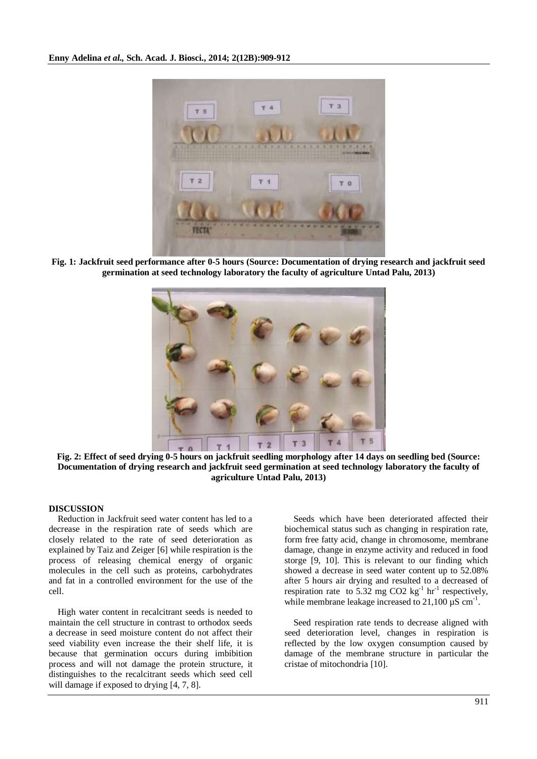

**Fig. 1: Jackfruit seed performance after 0-5 hours (Source: Documentation of drying research and jackfruit seed germination at seed technology laboratory the faculty of agriculture Untad Palu, 2013)**



**Fig. 2: Effect of seed drying 0-5 hours on jackfruit seedling morphology after 14 days on seedling bed (Source: Documentation of drying research and jackfruit seed germination at seed technology laboratory the faculty of agriculture Untad Palu, 2013)**

## **DISCUSSION**

Reduction in Jackfruit seed water content has led to a decrease in the respiration rate of seeds which are closely related to the rate of seed deterioration as explained by Taiz and Zeiger [6] while respiration is the process of releasing chemical energy of organic molecules in the cell such as proteins, carbohydrates and fat in a controlled environment for the use of the cell.

High water content in recalcitrant seeds is needed to maintain the cell structure in contrast to orthodox seeds a decrease in seed moisture content do not affect their seed viability even increase the their shelf life, it is because that germination occurs during imbibition process and will not damage the protein structure, it distinguishes to the recalcitrant seeds which seed cell will damage if exposed to drying [4, 7, 8].

Seeds which have been deteriorated affected their biochemical status such as changing in respiration rate, form free fatty acid, change in chromosome, membrane damage, change in enzyme activity and reduced in food storge [9, 10]. This is relevant to our finding which showed a decrease in seed water content up to 52.08% after 5 hours air drying and resulted to a decreased of respiration rate to 5.32 mg CO2  $\text{kg}^{-1}$  hr<sup>-1</sup> respectively, while membrane leakage increased to  $21,100 \mu S$  cm<sup>-1</sup>.

Seed respiration rate tends to decrease aligned with seed deterioration level, changes in respiration is reflected by the low oxygen consumption caused by damage of the membrane structure in particular the cristae of mitochondria [10].